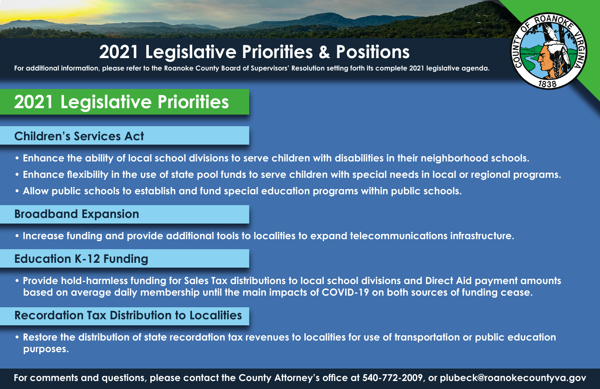## **2021 Legislative Priorities & Positions**

**For additional information, please refer to the Roanoke County Board of Supervisors' Resolution setting forth its complete 2021 legislative agenda.**

# **2021 Legislative Priorities**

## **Children's Services Act**

- **Enhance the ability of local school divisions to serve children with disabilities in their neighborhood schools.**
- **Enhance flexibility in the use of state pool funds to serve children with special needs in local or regional programs.**

**MNO** 

**• Allow public schools to establish and fund special education programs within public schools.**

### **Broadband Expansion**

**• Increase funding and provide additional tools to localities to expand telecommunications infrastructure.**

### **Education K-12 Funding**

**• Provide hold-harmless funding for Sales Tax distributions to local school divisions and Direct Aid payment amounts based on average daily membership until the main impacts of COVID-19 on both sources of funding cease.**

## **Recordation Tax Distribution to Localities**

**• Restore the distribution of state recordation tax revenues to localities for use of transportation or public education purposes.**

**For comments and questions, please contact the County Attorney's office at 540-772-2009, or plubeck@roanokecountyva.gov**